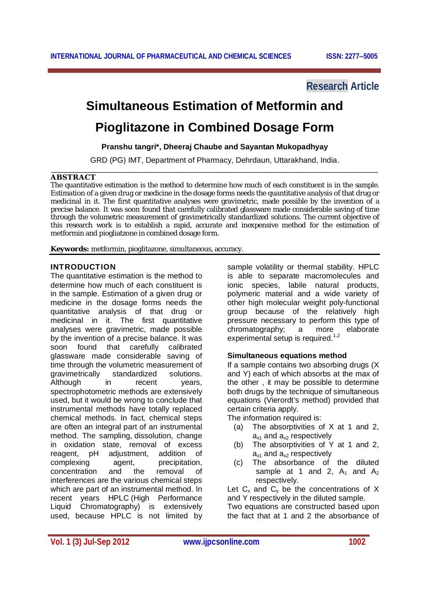# **Research Article**

# **Simultaneous Estimation of Metformin and Pioglitazone in Combined Dosage Form**

**Pranshu tangri\*, Dheeraj Chaube and Sayantan Mukopadhyay**

GRD (PG) IMT, Department of Pharmacy, Dehrdaun, Uttarakhand, India.

#### \_\_\_\_\_\_\_\_\_\_\_\_\_\_\_\_\_\_\_\_\_\_\_\_\_\_\_\_\_\_\_\_\_\_\_\_\_\_\_\_\_\_\_\_\_\_\_\_\_\_\_\_\_\_\_\_\_\_\_\_\_\_\_\_\_\_\_\_\_\_\_\_\_\_\_\_ **ABSTRACT**

The quantitative estimation is the method to determine how much of each constituent is in the sample. Estimation of a given drug or medicine in the dosage forms needs the quantitative analysis of that drug or medicinal in it. The first quantitative analyses were gravimetric, made possible by the invention of a precise balance. It was soon found that carefully calibrated glassware made considerable saving of time through the volumetric measurement of gravimetrically standardized solutions. The current objective of this research work is to establish a rapid, accurate and inexpensive method for the estimation of metformin and piogliatzone in combined dosage form.

**Keywords:** metformin, pioglitazone, simultaneous, accuracy.

# **INTRODUCTION**

The quantitative estimation is the method to determine how much of each constituent is in the sample. Estimation of a given drug or medicine in the dosage forms needs the quantitative analysis of that drug or medicinal in it. The first quantitative analyses were gravimetric, made possible by the invention of a precise balance. It was soon found that carefully calibrated glassware made considerable saving of time through the volumetric measurement of gravimetrically standardized solutions. Although in recent years, spectrophotometric methods are extensively used, but it would be wrong to conclude that instrumental methods have totally replaced chemical methods. In fact, chemical steps are often an integral part of an instrumental method. The sampling, dissolution, change in oxidation state, removal of excess reagent, pH adjustment, addition of complexing agent, precipitation, concentration and the removal interferences are the various chemical steps which are part of an instrumental method. In recent years HPLC (High Performance Liquid Chromatography) is extensively used, because HPLC is not limited by sample volatility or thermal stability. HPLC is able to separate macromolecules and ionic species, labile natural products, polymeric material and a wide variety of other high molecular weight poly-functional group because of the relatively high pressure necessary to perform this type of chromatography; a more elaborate experimental setup is required.<sup>1,2</sup>

# **Simultaneous equations method**

If a sample contains two absorbing drugs (X and Y) each of which absorbs at the max of the other , it may be possible to determine both drugs by the technique of simultaneous equations (Vierordt's method) provided that certain criteria apply.

The information required is:

- (a) The absorptivities of X at 1 and 2,  $a_{x1}$  and  $a_{x2}$  respectively
- (b) The absorptivities of Y at 1 and 2,  $a_{x1}$  and  $a_{x2}$  respectively
- (c) The absorbance of the diluted sample at 1 and 2,  $A_1$  and  $A_2$ respectively.

Let  $C_x$  and  $C_y$  be the concentrations of X and Y respectively in the diluted sample.

Two equations are constructed based upon the fact that at 1 and 2 the absorbance of

**Vol. 1 (3) Jul-Sep 2012 www.ijpcsonline.com 1002**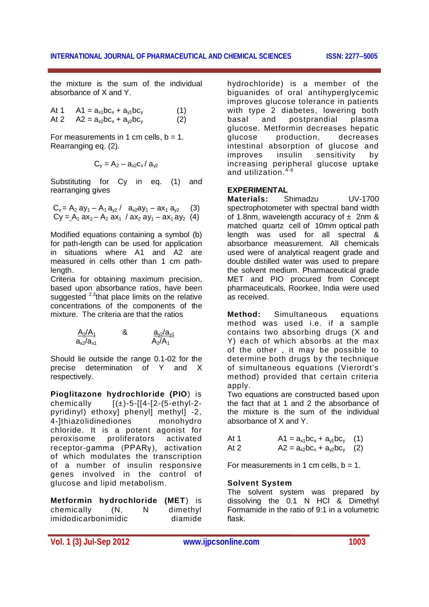the mixture is the sum of the individual absorbance of X and Y.

At 1 
$$
A1 = a_{x1}bc_x + a_{y1}bc_y
$$
 (1)

At 2  $A2 = a_{x2}bc_x + a_{y2}bc_y$  (2)

For measurements in 1 cm cells,  $b = 1$ . Rearranging eq. (2).

$$
C_y = A_2 - a_{x2}c_x/a_{y2}
$$

Substituting for Cy in eq. (1) and rearranging gives

$$
C_x = A_2 ay_1 - A_1 a_{y2} / a_{x2}ay_1 - ax_1 a_{y2}
$$
 (3)  
Cy = A<sub>1</sub> ax<sub>2</sub> - A<sub>2</sub> ax<sub>1</sub> / ax<sub>2</sub> ay<sub>1</sub> - ax<sub>1</sub> ay<sub>2</sub> (4)

Modified equations containing a symbol (b) for path-length can be used for application in situations where A1 and A2 are measured in cells other than 1 cm pathlength.

Criteria for obtaining maximum precision, based upon absorbance ratios, have been suggested  $^{2,3}$ that place limits on the relative concentrations of the components of the mixture. The criteria are that the ratios

$$
\frac{A_2/A_1}{a_{x2}/a_{x1}} \qquad \text{&} \qquad \frac{a_{x2}/a_{x1}}{A_2/A_1}
$$

Should lie outside the range 0.1-02 for the precise determination of Y and X respectively.

**Pioglitazone hydrochloride (PIO**) is chemically  $[(\pm)$ -5- $[4$ - $[2-(5-eth)/(1-2$ pyridinyl) ethoxy] phenyl] methyl] -2, 4-]thiazolidinediones monohydro chloride. It is a potent agonist for peroxisome proliferators activated receptor-gamma (PPARγ), activation of which modulates the transcription of a number of insulin responsive genes involved in the control of glucose and lipid metabolism.

**Metformin hydrochloride (MET**) is chemically (N, N dimethyl imidodicarbonimidic diamide

hydrochloride) is a member of the biguanides of oral antihyperglycemic improves glucose tolerance in patients with type 2 diabetes, lowering both basal and postprandial plasma glucose. Metformin decreases hepatic glucose production, decreases intestinal absorption of glucose and<br>improves insulin sensitivity by sensitivity by increasing peripheral glucose uptake and utilization  $4-6$ 

# **EXPERIMENTAL**

**Materials:** Shimadzu UV-1700 spectrophotometer with spectral band width of 1.8nm, wavelength accuracy of  $\pm$  2nm & matched quartz cell of 10mm optical path length was used for all spectral & absorbance measurement. All chemicals used were of analytical reagent grade and double distilled water was used to prepare the solvent medium. Pharmaceutical grade MET and PIO procured from Concept pharmaceuticals, Roorkee, India were used as received.

**Method:** Simultaneous equations method was used i.e. if a sample contains two absorbing drugs (X and Y) each of which absorbs at the max of the other , it may be possible to determine both drugs by the technique of simultaneous equations (Vierordt's method) provided that certain criteria apply.

Two equations are constructed based upon the fact that at 1 and 2 the absorbance of the mixture is the sum of the individual absorbance of X and Y.

| At 1 | $A1 = a_{x1}bc_x + a_{y1}bc_y$ (1) |  |
|------|------------------------------------|--|
| At 2 | $A2 = a_{x2}bc_x + a_{y2}bc_y$ (2) |  |

For measurements in 1 cm cells,  $b = 1$ .

# **Solvent System**

The solvent system was prepared by dissolving the 0.1 N HCl & Dimethyl Formamide in the ratio of 9:1 in a volumetric flask.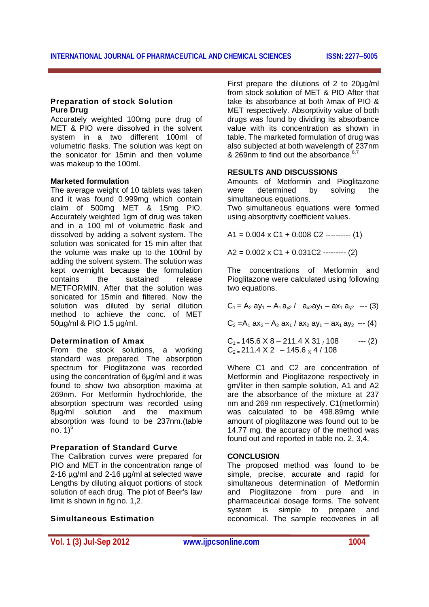#### **Preparation of stock Solution Pure Drug**

Accurately weighted 100mg pure drug of MET & PIO were dissolved in the solvent system in a two different 100ml of volumetric flasks. The solution was kept on the sonicator for 15min and then volume was makeup to the 100ml.

#### **Marketed formulation**

The average weight of 10 tablets was taken and it was found 0.999mg which contain claim of 500mg MET & 15mg PIO. Accurately weighted 1gm of drug was taken and in a 100 ml of volumetric flask and dissolved by adding a solvent system. The solution was sonicated for 15 min after that the volume was make up to the 100ml by adding the solvent system. The solution was kept overnight because the formulation contains the sustained release METFORMIN. After that the solution was sonicated for 15min and filtered. Now the solution was diluted by serial dilution method to achieve the conc. of MET 50µg/ml & PIO 1.5 µg/ml.

#### **Determination of λmax**

From the stock solutions, a working standard was prepared. The absorption spectrum for Pioglitazone was recorded using the concentration of 6μg/ml and it was found to show two absorption maxima at 269nm. For Metformin hydrochloride, the absorption spectrum was recorded using 8μg/ml solution and the maximum absorption was found to be 237nm.(table no.  $1)^6$ 

#### **Preparation of Standard Curve**

The Calibration curves were prepared for PIO and MET in the concentration range of 2-16 µg/ml and 2-16 µg/ml at selected wave Lengths by diluting aliquot portions of stock solution of each drug. The plot of Beer's law limit is shown in fig no. 1,2.

#### **Simultaneous Estimation**

First prepare the dilutions of 2 to 20µg/ml from stock solution of MET & PIO After that take its absorbance at both λmax of PIO & MET respectively. Absorptivity value of both drugs was found by dividing its absorbance value with its concentration as shown in table. The marketed formulation of drug was also subjected at both wavelength of 237nm  $& 269$ nm to find out the absorbance.<sup>6,7</sup>

#### **RESULTS AND DISCUSSIONS**

Amounts of Metformin and Pioglitazone were determined by solving the simultaneous equations.

Two simultaneous equations were formed using absorptivity coefficient values.

 $A1 = 0.004 \times C1 + 0.008 C2$  ---------- (1)

 $A2 = 0.002 \times C1 + 0.031C2$  --------- (2)

The concentrations of Metformin and Pioglitazone were calculated using following two equations.

 $C_1 = A_2$  ay<sub>1</sub> –  $A_1 a_{1/2}$  /  $a_{1/2} a_{1/2} a_{1/2} a_{1/2}$  --- (3)

 $C_2 = A_1$  ax<sub>2</sub> –  $A_2$  ax<sub>1</sub> / ax<sub>2</sub> ay<sub>1</sub> – ax<sub>1</sub> ay<sub>2</sub> --- (4)

 $C_{1}$  = 145.6 X 8 – 211.4 X 31  $/108$  --- (2)  $C_2$  – 211.4 X 2 – 145.6 x 4 / 108

Where C1 and C2 are concentration of Metformin and Pioglitazone respectively in gm/liter in then sample solution, A1 and A2 are the absorbance of the mixture at 237 nm and 269 nm respectively. C1(metformin) was calculated to be 498.89mg while amount of pioglitazone was found out to be 14.77 mg. the accuracy of the method was found out and reported in table no. 2, 3,4.

#### **CONCLUSION**

The proposed method was found to be simple, precise, accurate and rapid for simultaneous determination of Metformin and Pioglitazone from pure and in pharmaceutical dosage forms. The solvent system is simple to prepare and economical. The sample recoveries in all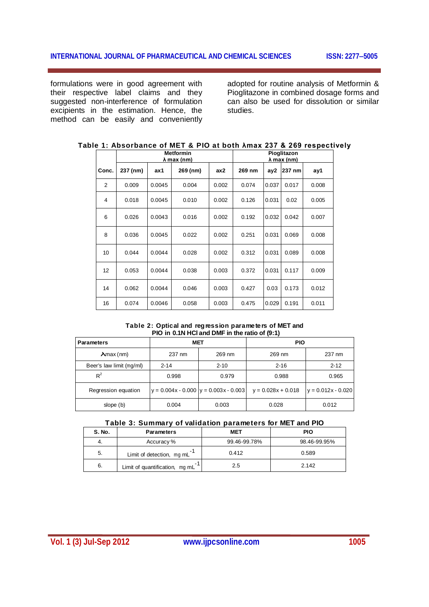formulations were in good agreement with their respective label claims and they suggested non-interference of formulation excipients in the estimation. Hence, the method can be easily and conveniently

adopted for routine analysis of Metformin & Pioglitazone in combined dosage forms and can also be used for dissolution or similar studies.

|       | <b>Metformin</b><br>λ max (nm) |        |          | Pioglitazon<br>$\lambda$ max (nm) |        |                 |         |       |
|-------|--------------------------------|--------|----------|-----------------------------------|--------|-----------------|---------|-------|
| Conc. | 237 (nm)                       | ax1    | 269 (nm) | ax2                               | 269 nm | ay <sub>2</sub> | 1237 nm | ay1   |
| 2     | 0.009                          | 0.0045 | 0.004    | 0.002                             | 0.074  | 0.037           | 0.017   | 0.008 |
| 4     | 0.018                          | 0.0045 | 0.010    | 0.002                             | 0.126  | 0.031           | 0.02    | 0.005 |
| 6     | 0.026                          | 0.0043 | 0.016    | 0.002                             | 0.192  | 0.032           | 0.042   | 0.007 |
| 8     | 0.036                          | 0.0045 | 0.022    | 0.002                             | 0.251  | 0.031           | 0.069   | 0.008 |
| 10    | 0.044                          | 0.0044 | 0.028    | 0.002                             | 0.312  | 0.031           | 0.089   | 0.008 |
| 12    | 0.053                          | 0.0044 | 0.038    | 0.003                             | 0.372  | 0.031           | 0.117   | 0.009 |
| 14    | 0.062                          | 0.0044 | 0.046    | 0.003                             | 0.427  | 0.03            | 0.173   | 0.012 |
| 16    | 0.074                          | 0.0046 | 0.058    | 0.003                             | 0.475  | 0.029           | 0.191   | 0.011 |

# **Table 1: Absorbance of MET & PIO at both λmax 237 & 269 respectively**

**Table 2: Optical and regression parameters of MET and PIO in 0.1N HCl and DMF in the ratio of (9:1)**

| <b>Parameters</b>        | MET                                       |          | <b>PIO</b>           |                      |  |
|--------------------------|-------------------------------------------|----------|----------------------|----------------------|--|
| $\lambda$ max (nm)       | 237 nm                                    | 269 nm   | 269 nm               | 237 nm               |  |
| Beer's law limit (mg/ml) | $2 - 14$                                  | $2 - 10$ | $2 - 16$             | $2 - 12$             |  |
| $R^2$                    | 0.998                                     | 0.979    | 0.988                | 0.965                |  |
| Regression equation      | $y = 0.004x - 0.000$ $y = 0.003x - 0.003$ |          | $y = 0.028x + 0.018$ | $y = 0.012x - 0.020$ |  |
| slope (b)                | 0.004                                     | 0.003    | 0.028                | 0.012                |  |

#### **Table 3: Summary of validation parameters for MET and PIO**

| S.No. | <b>Parameters</b>              | <b>MET</b>   | <b>PIO</b>   |
|-------|--------------------------------|--------------|--------------|
| 4.    | Accuracy %                     | 99.46-99.78% | 98.46-99.95% |
| 5.    | Limit of detection, mg mL      | 0.412        | 0.589        |
| 6.    | Limit of quantification, mg mL | 2.5          | 2.142        |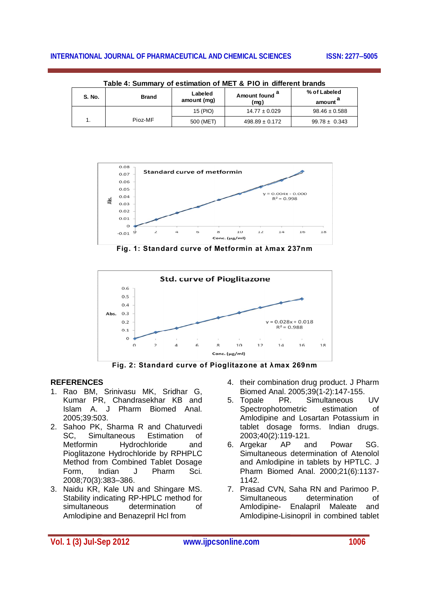# **INTERNATIONAL JOURNAL OF PHARMACEUTICAL AND CHEMICAL SCIENCES ISSN: 2277-5005**

| S. No. | $\frac{1}{2}$ and $\frac{1}{2}$ . Ouriniary of estimation of MLT $\alpha$ TTO in unicidit planus<br><b>Brand</b> | Labeled<br>amount (mg) | Amount found <sup>a</sup><br>(mg) | % of Labeled<br>amount <sup>a</sup> |
|--------|------------------------------------------------------------------------------------------------------------------|------------------------|-----------------------------------|-------------------------------------|
|        |                                                                                                                  | 15 (PIO)               | $14.77 \pm 0.029$                 | $98.46 \pm 0.588$                   |
|        | Pioz-MF                                                                                                          | 500 (MET)              | $498.89 \pm 0.172$                | $99.78 \pm 0.343$                   |

**Table 4: Summary of estimation of MET & PIO in different brands**



**Fig. 1: Standard curve of Metformin at λmax 237nm**



**Fig. 2: Standard curve of Pioglitazone at λmax 269nm**

# **REFERENCES**

- 1. Rao BM, Srinivasu MK, Sridhar G, Kumar PR, Chandrasekhar KB and Islam A. J Pharm Biomed Anal. 2005;39:503.
- 2. Sahoo PK, Sharma R and Chaturvedi SC, Simultaneous Estimation of Metformin Hydrochloride and Pioglitazone Hydrochloride by RPHPLC Method from Combined Tablet Dosage Form, Indian J Pharm Sci. 2008;70(3):383–386.
- 3. Naidu KR, Kale UN and Shingare MS. Stability indicating RP-HPLC method for simultaneous determination of Amlodipine and Benazepril Hcl from
- 4. their combination drug product. J Pharm Biomed Anal. 2005;39(1-2):147-155.<br>5. Topale PR. Simultaneous
- Simultaneous UV Spectrophotometric estimation of Amlodipine and Losartan Potassium in tablet dosage forms. Indian drugs. 2003;40(2):119-121.
- 6. Argekar AP and Powar SG. Simultaneous determination of Atenolol and Amlodipine in tablets by HPTLC. J Pharm Biomed Anal. 2000;21(6):1137- 1142.
- 7. Prasad CVN, Saha RN and Parimoo P. Simultaneous determination of Amlodipine- Enalapril Maleate and Amlodipine-Lisinopril in combined tablet